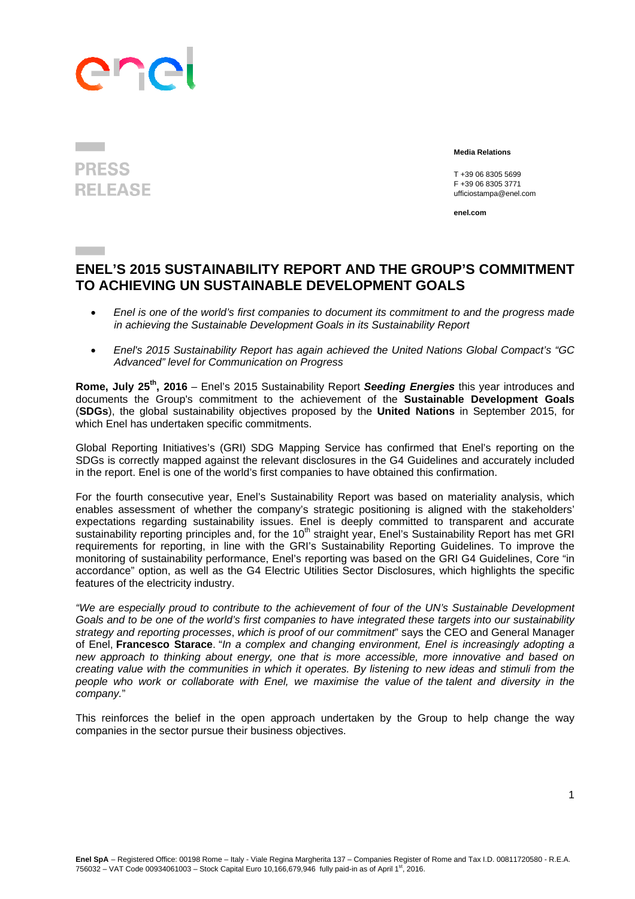## ene

## **PRESS RELEASE**

 **Media Relations** 

 T +39 06 8305 5699 F +39 06 8305 3771 ufficiostampa@enel.com

**enel.com**

## **ENEL'S 2015 SUSTAINABILITY REPORT AND THE GROUP'S COMMITMENT TO ACHIEVING UN SUSTAINABLE DEVELOPMENT GOALS**

- *Enel is one of the world's first companies to document its commitment to and the progress made in achieving the Sustainable Development Goals in its Sustainability Report*
- *Enel's 2015 Sustainability Report has again achieved the United Nations Global Compact's "GC Advanced" level for Communication on Progress*

**Rome, July 25th, 2016** – Enel's 2015 Sustainability Report *Seeding Energies* this year introduces and documents the Group's commitment to the achievement of the **Sustainable Development Goals**  (**SDGs**), the global sustainability objectives proposed by the **United Nations** in September 2015, for which Enel has undertaken specific commitments.

Global Reporting Initiatives's (GRI) SDG Mapping Service has confirmed that Enel's reporting on the SDGs is correctly mapped against the relevant disclosures in the G4 Guidelines and accurately included in the report. Enel is one of the world's first companies to have obtained this confirmation.

For the fourth consecutive year, Enel's Sustainability Report was based on materiality analysis, which enables assessment of whether the company's strategic positioning is aligned with the stakeholders' expectations regarding sustainability issues. Enel is deeply committed to transparent and accurate sustainability reporting principles and, for the 10<sup>th</sup> straight year, Enel's Sustainability Report has met GRI requirements for reporting, in line with the GRI's Sustainability Reporting Guidelines. To improve the monitoring of sustainability performance, Enel's reporting was based on the GRI G4 Guidelines, Core "in accordance" option, as well as the G4 Electric Utilities Sector Disclosures, which highlights the specific features of the electricity industry.

*"We are especially proud to contribute to the achievement of four of the UN's Sustainable Development Goals and to be one of the world's first companies to have integrated these targets into our sustainability strategy and reporting processes*, *which is proof of our commitment*" says the CEO and General Manager of Enel, **Francesco Starace**. "*In a complex and changing environment, Enel is increasingly adopting a new approach to thinking about energy, one that is more accessible, more innovative and based on creating value with the communities in which it operates. By listening to new ideas and stimuli from the people who work or collaborate with Enel, we maximise the value of the talent and diversity in the company.*"

This reinforces the belief in the open approach undertaken by the Group to help change the way companies in the sector pursue their business objectives.